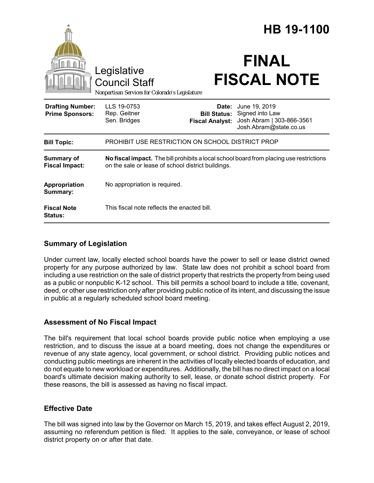|                                                                                        |                                                                                                                                               |                        | HB 19-1100                                                                                                               |  |
|----------------------------------------------------------------------------------------|-----------------------------------------------------------------------------------------------------------------------------------------------|------------------------|--------------------------------------------------------------------------------------------------------------------------|--|
| Legislative<br><b>Council Staff</b><br>Nonpartisan Services for Colorado's Legislature |                                                                                                                                               |                        | <b>FINAL</b><br><b>FISCAL NOTE</b>                                                                                       |  |
| <b>Drafting Number:</b><br><b>Prime Sponsors:</b>                                      | LLS 19-0753<br>Rep. Geitner<br>Sen. Bridges                                                                                                   | <b>Fiscal Analyst:</b> | <b>Date:</b> June 19, 2019<br><b>Bill Status:</b> Signed into Law<br>Josh Abram   303-866-3561<br>Josh.Abram@state.co.us |  |
| <b>Bill Topic:</b>                                                                     | PROHIBIT USE RESTRICTION ON SCHOOL DISTRICT PROP                                                                                              |                        |                                                                                                                          |  |
| <b>Summary of</b><br><b>Fiscal Impact:</b>                                             | No fiscal impact. The bill prohibits a local school board from placing use restrictions<br>on the sale or lease of school district buildings. |                        |                                                                                                                          |  |
| Appropriation<br>Summary:                                                              | No appropriation is required.                                                                                                                 |                        |                                                                                                                          |  |
| <b>Fiscal Note</b><br><b>Status:</b>                                                   | This fiscal note reflects the enacted bill.                                                                                                   |                        |                                                                                                                          |  |

## **Summary of Legislation**

Under current law, locally elected school boards have the power to sell or lease district owned property for any purpose authorized by law. State law does not prohibit a school board from including a use restriction on the sale of district property that restricts the property from being used as a public or nonpublic K-12 school. This bill permits a school board to include a title, covenant, deed, or other use restriction only after providing public notice of its intent, and discussing the issue in public at a regularly scheduled school board meeting.

### **Assessment of No Fiscal Impact**

The bill's requirement that local school boards provide public notice when employing a use restriction, and to discuss the issue at a board meeting, does not change the expenditures or revenue of any state agency, local government, or school district. Providing public notices and conducting public meetings are inherent in the activities of locally elected boards of education, and do not equate to new workload or expenditures. Additionally, the bill has no direct impact on a local board's ultimate decision making authority to sell, lease, or donate school district property. For these reasons, the bill is assessed as having no fiscal impact.

### **Effective Date**

The bill was signed into law by the Governor on March 15, 2019, and takes effect August 2, 2019, assuming no referendum petition is filed. It applies to the sale, conveyance, or lease of school district property on or after that date.